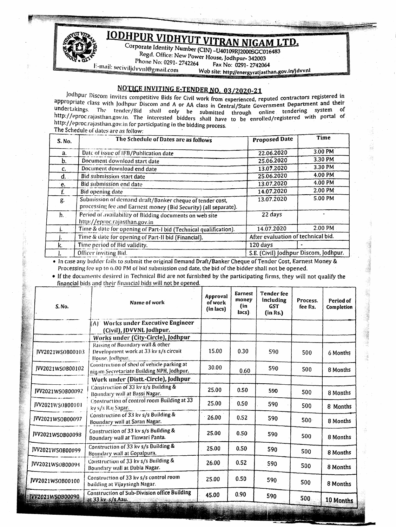

**IODHPUR VIDHYUT VITRAN NIGAM LTD.** 

Corporate Identity Number (CIN) -U40109RJ2000SGC016483 Regd. Office: New Power House, Jodhpur- 342003 Phone No: 0291-2742264

Fax No: 0291-2742064

E-mail: seciviljdvvnl@gmail.com Web site: http://energyratjasthan.gov.in/jdvvnl

## NOTICE INVITING E-TENDER NO. 03/2020-21

Jodhpur Discom invites competitive Bids for Civil work from experienced, reputed contractors registered in appropriate class with Jodhpur Discom and A or AA class in Central/State Government Department and their undertakings. The tender/Bid shall only be submitted through online tendering system of http://eproc.rajasthan.gov.in. The interested bidders shall have to be enrolled/registered with portal of http://eproc.rajasthan.gov.in for participating in the bidding process. The Schedule of dates are as follow:

| S. No.      | The Schedule of Dates are as follows                                                                                        | <b>Proposed Date</b>                  | Time    |  |
|-------------|-----------------------------------------------------------------------------------------------------------------------------|---------------------------------------|---------|--|
| a.          | Date of issue of IFB/Publication date                                                                                       | 22.06.2020                            | 3.00 PM |  |
| b.          | Document download start date                                                                                                | 25.06.2020                            | 3.30 PM |  |
| c.          | Document download end date                                                                                                  | 13.07.2020                            | 3.30 PM |  |
| d.          | Bid submission start date                                                                                                   | 25.06.2020                            | 4.00 PM |  |
| гe.         | Bid submission end date                                                                                                     | 13.07.2020                            | 4.00 PM |  |
|             | Bid opening date                                                                                                            | 14.07.2020                            | 2.00 PM |  |
| g.          | Submission of demand draft/Banker cheque of tender cost,<br>processing fee and Earnest money (Bid Security) (all separate). | 13.07.2020                            | 5.00 PM |  |
| $h_{\perp}$ | Period of availability of Bidding documents on web site<br>http://eproc.rajasthan.gov.in                                    | 22 days                               |         |  |
|             | Time & date for opening of Part-I bid (Technical qualification).                                                            | 14.07.2020                            | 2.00 PM |  |
|             | Time & date for opening of Part-II bid (Financial).                                                                         | After evaluation of technical bid.    |         |  |
| k.          | Time period of Bid validity.                                                                                                | 120 days                              |         |  |
|             | Officer inviting Bid.                                                                                                       | S.E. (Civil) Jodhpur Discom, Jodhpur. |         |  |

• In case any bidder fails to submit the original Demand Draft/Banker Cheque of Tender Cost, Earnest Money & Processing fee up to 6.00 PM of bid submission end date, the bid of the bidder shall not be opened.

• If the documents desired in Technical Bid are not furnished by the participating firms, they will not qualify the financial bids and their financial bids will not be opened.

| S. No.                  | Name of work                                                                                                | Approval<br>of work<br>(in lacs) | Earnest<br>money<br>(in<br>lacs). | <b>Tender</b> fee<br>including<br><b>GST</b><br>(in Rs.) | Process.<br>fee Rs. | Period of<br>Completion |
|-------------------------|-------------------------------------------------------------------------------------------------------------|----------------------------------|-----------------------------------|----------------------------------------------------------|---------------------|-------------------------|
|                         | (A) Works under Executive Engineer<br>(Civil), JDVVNL Jodhpur.                                              |                                  |                                   |                                                          |                     |                         |
|                         | Works under (City-Circle), Jodhpur                                                                          |                                  |                                   |                                                          |                     |                         |
| JVV2021WSOB00103        | Raising of Boundary wall & other<br>Development work at 33 kv s/s circuit<br>House, Jodhpur.                | 15.00                            | 0.30                              | 590                                                      | 500                 | 6 Months                |
| JVV2021WSOB00102        | Construction of shed of vehicle parking at<br>nigam Secretariate Building NPH, Jodhpur.                     | 30.00                            | 0.60                              | 590                                                      | 500                 | 8 Months                |
|                         | Work under (Distt.-Circle), Jodhpur-                                                                        |                                  |                                   |                                                          |                     |                         |
| JVV2021WSOB00092        | Construction of 33 kv s/s Building &<br>Boundary wall at Bassi Nagar.                                       | 25.00                            | 0.50                              | 590                                                      | 500                 | 8 Months                |
| JVV2021WSOB00101        | Construction of control room Building at 33<br>ky s/s Raj Sagar.                                            | 25.00                            | 0.50                              | 590                                                      | 500                 | 8 Months                |
| JVV2021WSOB00097        | Construction of 33 kv s/s Building &<br>Boundary wall at Saran Nagar.                                       | 26.00                            | 0.52                              | 590                                                      | $500 -$             | 8 Months                |
| JVV2021WSOB00098        | Construction of 33 kv s/s Building &<br>Boundary wall at Tinwari Panta.                                     | 25.00                            | 0.50                              | 590                                                      | 500                 | 8 Months                |
| JVV2021WSOB00099        | Construction of 33 kv s/s Building &<br>Boundary wall at Gopalpura.                                         | 25.00                            | 0.50                              | 590                                                      | 500                 | 8 Months                |
| JVV2021WSOB00094        | Construction of 33 kv s/s Building &<br>Boundary wall at Dabla Nagar.                                       | 26.00                            | 0.52                              | 590                                                      | 500                 | 8 Months                |
| JVV2021WSOB00100        | Construction of 33 kv s/s control room<br>building at Vijaysingh Nagar.                                     | 25.00                            | 0.50                              | 590                                                      | 500                 | 8 Months                |
| <b>JVV2021WSOB00090</b> | Construction of Sub-Division office Building<br>at 33 kv s/s Aau.<br><b>THE REPORT OF STANDARD PROPERTY</b> | 45.00                            | 0.90                              | 590                                                      | 500                 | 10 Months               |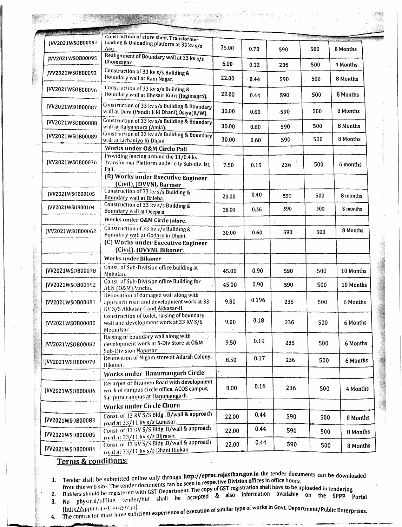|                  | Construction of store shed, Transformer                                                                                    |       |                    |     |     |           |
|------------------|----------------------------------------------------------------------------------------------------------------------------|-------|--------------------|-----|-----|-----------|
| IVV2021WS0B00091 | loading & Unloading platform at 33 kv s/s<br>Aau.                                                                          | 35.00 | 0.70               | 590 | 500 | 8 Months  |
| JVV2021WSOB00095 | Realignment of Boundary wall at 33 kv s/s<br>Bhomsagar.                                                                    | 6.00  | 0.12               | 236 | 500 | 4 Months  |
| IVV2021WS0B00093 | Construction of 33 kv s/s Building &<br>Boundary wall at Ram Nagar.                                                        | 22.00 | 0.44               | 590 | 500 | 8 Months  |
| JVV2021WS0B00096 | Construction of 33 kv s/s Building &<br>Boundary wall at Bhesair Kutri (Jogimagra).                                        | 22.00 | 0.44               | 590 | 500 | 8 Months  |
| JVV2021WSOB00087 | Construction of 33 kv s/s Building & Boundary<br>wall at Dera (Pandit Ji ki Dhani), Osiya (R/W).                           | 30.00 | 0.60               | 590 | 500 | 8 Months  |
| JVV2021WSOB00088 | Construction of 33 kv s/s Building & Boundary<br>wall at Kalyanpura (Amla).                                                | 30.00 | 0.60               | 590 | 500 | 8 Months  |
| JVV2021WSOB00089 | Construction of 33 kv s/s Building & Boundary<br>wall at Lichaniyo Ki Dhani.                                               | 30.00 | 0.60               | 590 | 500 | 8 Months  |
|                  | Works under O&M Circle Pali                                                                                                |       |                    |     |     |           |
| JVV2021WSOB00076 | Providing fencing around the 11/0.4 kv<br>Transformer Platform under city Sub-div. Ist,<br>Pali.                           | 7.50  | 0.15               | 236 | 500 | 6 months  |
|                  | (B) Works under Executive Engineer<br>(Civil), JDVVNL Barmer                                                               |       |                    |     |     |           |
| JVV2021WS0B00105 | Construction of 33 kv s/s Building &<br>Boundary wall at Baleba.                                                           | 20.00 | 0.40               | 590 | 500 | 8 months  |
| JVV2021WS0B00104 | Construction of 33 kv s/s Building &<br>Boundary wall at Deepala.                                                          | 28.00 | 0.56               | 590 | 500 | 8 months  |
|                  | Works under O&M Circle Jalore.                                                                                             |       |                    |     |     |           |
| JVV2021WS0B00062 | Construction of 33 kv s/s Building &<br>Boundary wall at Godaro ki Dhani.                                                  | 30.00 | 0.60               | 590 | 500 | 8 Months  |
|                  | (C) Works under Executive Engineer<br>(Civil), JDVVNL Bikaner.                                                             |       |                    |     |     |           |
|                  | <b>Works under Bikaner</b>                                                                                                 |       |                    |     |     |           |
| JVV2021WS0B00078 | Const. of Sub-Division office building at<br>Mahajan.                                                                      | 45.00 | 0.90               | 590 | 500 | 10 Months |
| JVV2021WSOB00092 | Const. of Sub-Division office Building for<br>AEN (O&M)Panchu.                                                             | 45.00 | 0.90               | 590 | 500 | 10 Months |
| JVV2021WSOB00081 | Renovation of damaged wall along with<br>approach road and development work at 33<br>KV S/S Akkasar-I and Akkasar-II.      | 9.80  | 0.196              | 236 | 500 | 6 Months  |
| JVV2021WSOB00080 | Construction of toilet, raising of boundary<br>wall and development work at 33 KV S/S<br>Moondsar.                         | 9.00  | 0.18               | 236 | 500 | 6 Months  |
| JVV2021WSOB00082 | Raising of boundary wall along with<br>development work at S-Div Store at O&M<br>Sub-Division Napasar                      | 9.50  | 0.19               | 236 | 500 | 6 Months  |
| JVV2021WSOB00079 | Renovation of Nigam store at Adarsh Colony,<br>Bikaner.                                                                    | 8.50  | 0.17               | 236 | 500 | 6 Months  |
|                  | Works under Hanumangarh Circle                                                                                             |       |                    |     |     |           |
|                  |                                                                                                                            |       |                    |     |     |           |
| JVV2021WSOB00086 | Recarpet of Bitumen Road with development<br>work of campus circle office. ACOS campus,<br>Satipura campus at Hanumangarh. | 8.00  | 0.16<br>$\epsilon$ | 236 | 500 | 4 Months  |
|                  | Works under Circle Churu                                                                                                   |       |                    |     |     |           |
| JVV2021WSOB00083 | Const. of 33 KV S/S Bldg, B/wall & approach<br>road at 33/11 kv s/s Lunasar.                                               | 22.00 | 0.44               | 590 | 500 | 8 Months  |
| JVV2021WSOB00085 | Const. of 33 KV S/S Bldg, B/wall & approach<br>road at 33/11 kv s/s Bijrasar.                                              | 22.00 | 0.44               | 590 | 500 | 8 Months  |
| JVV2021WSOB00084 | Const. of 33 KV S/S Bldg , B/wall & approach<br>road at 33/11 kv s/s Dhani Raikan.                                         | 22.00 | 0.44               | 590 | 500 | 8 Months  |
|                  |                                                                                                                            |       |                    |     |     |           |

## Terms & conditions:

4.

- Tender shall be submitted online only through http://eproc.rajasthan.gov.in the tender documents can be downloaded from this web site. The tender documents can be seen in respective Division offices in office hours.  $1.$
- 
- from this web site. The tender documents can be seen in respective *Litiana* since movies in since fours.<br>Bidders should be registered with GST Department. The copy of GST registration shall have to be uploaded in tenderin  $2.$  $3.$
- (http://sppp.cogesthan.gov.ar).<br>The contractor must have sufficient experience of execution of similar type of works in Govt. Department/Public Enterprises.